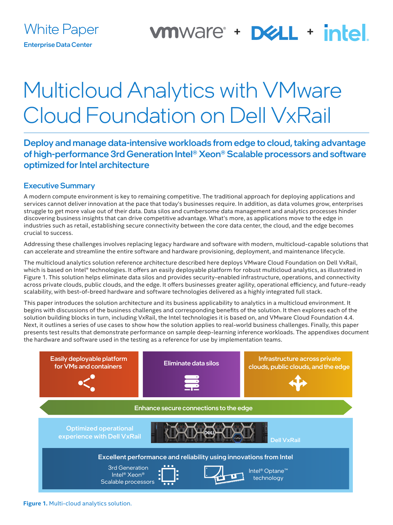### vmware + D&LL + intel.

# Multicloud Analytics with VMware Cloud Foundation on Dell VxRail

Deploy and manage data-intensive workloads from edge to cloud, taking advantage of high-performance 3rd Generation Intel® Xeon® Scalable processors and software optimized for Intel architecture

#### Executive Summary

A modern compute environment is key to remaining competitive. The traditional approach for deploying applications and services cannot deliver innovation at the pace that today's businesses require. In addition, as data volumes grow, enterprises struggle to get more value out of their data. Data silos and cumbersome data management and analytics processes hinder discovering business insights that can drive competitive advantage. What's more, as applications move to the edge in industries such as retail, establishing secure connectivity between the core data center, the cloud, and the edge becomes crucial to success.

Addressing these challenges involves replacing legacy hardware and software with modern, multicloud-capable solutions that can accelerate and streamline the entire software and hardware provisioning, deployment, and maintenance lifecycle.

The multicloud analytics solution reference architecture described here deploys VMware Cloud Foundation on Dell VxRail, which is based on Intel® technologies. It offers an easily deployable platform for robust multicloud analytics, as illustrated in Figure 1. This solution helps eliminate data silos and provides security-enabled infrastructure, operations, and connectivity across private clouds, public clouds, and the edge. It offers businesses greater agility, operational efficiency, and future-ready scalability, with best-of-breed hardware and software technologies delivered as a highly integrated full stack.

This paper introduces the solution architecture and its business applicability to analytics in a multicloud environment. It begins with discussions of the business challenges and corresponding benefits of the solution. It then explores each of the solution building blocks in turn, including VxRail, the Intel technologies it is based on, and VMware Cloud Foundation 4.4. Next, it outlines a series of use cases to show how the solution applies to real-world business challenges. Finally, this paper presents test results that demonstrate performance on sample deep-learning inference workloads. The appendixes document the hardware and software used in the testing as a reference for use by implementation teams.



**Figure 1.** Multi-cloud analytics solution.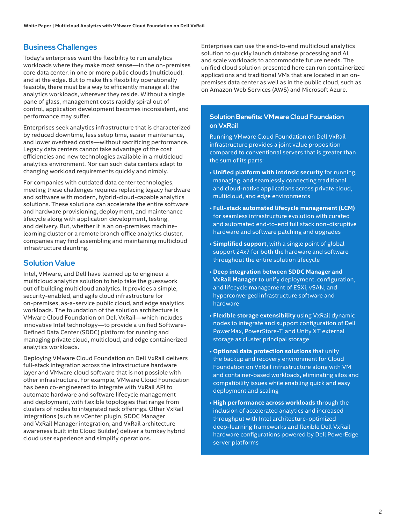#### Business Challenges

Today's enterprises want the flexibility to run analytics workloads where they make most sense—in the on-premises core data center, in one or more public clouds (multicloud), and at the edge. But to make this flexibility operationally feasible, there must be a way to efficiently manage all the analytics workloads, wherever they reside. Without a single pane of glass, management costs rapidly spiral out of control, application development becomes inconsistent, and performance may suffer.

Enterprises seek analytics infrastructure that is characterized by reduced downtime, less setup time, easier maintenance, and lower overhead costs—without sacrificing performance. Legacy data centers cannot take advantage of the cost efficiencies and new technologies available in a multicloud analytics environment. Nor can such data centers adapt to changing workload requirements quickly and nimbly.

For companies with outdated data center technologies, meeting these challenges requires replacing legacy hardware and software with modern, hybrid-cloud-capable analytics solutions. These solutions can accelerate the entire software and hardware provisioning, deployment, and maintenance lifecycle along with application development, testing, and delivery. But, whether it is an on-premises machinelearning cluster or a remote branch office analytics cluster, companies may find assembling and maintaining multicloud infrastructure daunting.

#### Solution Value

Intel, VMware, and Dell have teamed up to engineer a multicloud analytics solution to help take the guesswork out of building multicloud analytics. It provides a simple, security-enabled, and agile cloud infrastructure for on-premises, as-a-service public cloud, and edge analytics workloads. The foundation of the solution architecture is VMware Cloud Foundation on Dell VxRail—which includes innovative Intel technology—to provide a unified Software-Defined Data Center (SDDC) platform for running and managing private cloud, multicloud, and edge containerized analytics workloads.

Deploying VMware Cloud Foundation on Dell VxRail delivers full-stack integration across the infrastructure hardware layer and VMware cloud software that is not possible with other infrastructure. For example, VMware Cloud Foundation has been co-engineered to integrate with VxRail API to automate hardware and software lifecycle management and deployment, with flexible topologies that range from clusters of nodes to integrated rack offerings. Other VxRail integrations (such as vCenter plugin, SDDC Manager and VxRail Manager integration, and VxRail architecture awareness built into Cloud Builder) deliver a turnkey hybrid cloud user experience and simplify operations.

Enterprises can use the end-to-end multicloud analytics solution to quickly launch database processing and AI, and scale workloads to accommodate future needs. The unified cloud solution presented here can run containerized applications and traditional VMs that are located in an onpremises data center as well as in the public cloud, such as on Amazon Web Services (AWS) and Microsoft Azure.

#### Solution Benefits: VMware Cloud Foundation on VxRail

Running VMware Cloud Foundation on Dell VxRail infrastructure provides a joint value proposition compared to conventional servers that is greater than the sum of its parts:

- **Unified platform with intrinsic security** for running, managing, and seamlessly connecting traditional and cloud-native applications across private cloud, multicloud, and edge environments
- **Full-stack automated lifecycle management (LCM)**  for seamless infrastructure evolution with curated and automated end-to-end full stack non-disruptive hardware and software patching and upgrades
- **Simplified support**, with a single point of global support 24x7 for both the hardware and software throughout the entire solution lifecycle
- **Deep integration between SDDC Manager and VxRail Manager** to unify deployment, configuration, and lifecycle management of ESXi, vSAN, and hyperconverged infrastructure software and hardware
- **Flexible storage extensibility** using VxRail dynamic nodes to integrate and support configuration of Dell PowerMax, PowerStore-T, and Unity XT external storage as cluster principal storage
- **Optional data protection solutions** that unify the backup and recovery environment for Cloud Foundation on VxRail infrastructure along with VM and container-based workloads, eliminating silos and compatibility issues while enabling quick and easy deployment and scaling
- **High performance across workloads** through the inclusion of accelerated analytics and increased throughput with Intel architecture-optimized deep-learning frameworks and flexible Dell VxRail hardware configurations powered by Dell PowerEdge server platforms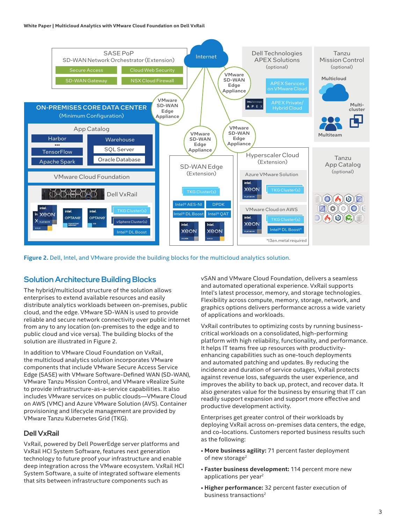

**Figure 2.** Dell, Intel, and VMware provide the building blocks for the multicloud analytics solution.

#### Solution Architecture Building Blocks

The hybrid/multicloud structure of the solution allows enterprises to extend available resources and easily distribute analytics workloads between on-premises, public cloud, and the edge. VMware SD-WAN is used to provide reliable and secure network connectivity over public internet from any to any location (on-premises to the edge and to public cloud and vice versa). The building blocks of the solution are illustrated in Figure 2.

In addition to VMware Cloud Foundation on VxRail, the multicloud analytics solution incorporates VMware components that include VMware Secure Access Service Edge (SASE) with VMware Software-Defined WAN (SD-WAN), VMware Tanzu Mission Control, and VMware vRealize Suite to provide infrastructure-as-a-service capabilities. It also includes VMware services on public clouds—VMware Cloud on AWS (VMC) and Azure VMware Solution (AVS). Container provisioning and lifecycle management are provided by VMware Tanzu Kubernetes Grid (TKG).

#### Dell VxRail

VxRail, powered by Dell PowerEdge server platforms and VxRail HCI System Software, features next generation technology to future proof your infrastructure and enable deep integration across the VMware ecosystem. VxRail HCI System Software, a suite of integrated software elements that sits between infrastructure components such as

vSAN and VMware Cloud Foundation, delivers a seamless and automated operational experience. VxRail supports Intel's latest processor, memory, and storage technologies. Flexibility across compute, memory, storage, network, and graphics options delivers performance across a wide variety of applications and workloads.

VxRail contributes to optimizing costs by running businesscritical workloads on a consolidated, high-performing platform with high reliability, functionality, and performance. It helps IT teams free up resources with productivityenhancing capabilities such as one-touch deployments and automated patching and updates. By reducing the incidence and duration of service outages, VxRail protects against revenue loss, safeguards the user experience, and improves the ability to back up, protect, and recover data. It also generates value for the business by ensuring that IT can readily support expansion and support more effective and productive development activity.

Enterprises get greater control of their workloads by deploying VxRail across on-premises data centers, the edge, and co-locations. Customers reported business results such as the following:

- **More business agility:** 71 percent faster deployment of new storage<sup>2</sup>
- **Faster business development:** 114 percent more new applications per year<sup>2</sup>
- **Higher performance:** 32 percent faster execution of business transactions<sup>2</sup>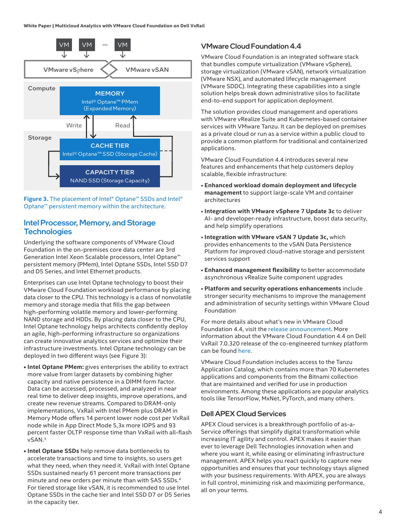**White Paper | Multicloud Analytics with VMware Cloud Foundation on Dell VxRail**



**Figure 3.** The placement of Intel® Optane™ SSDs and Intel® Optane™ persistent memory within the architecture.

#### Intel Processor, Memory, and Storage **Technologies**

Underlying the software components of VMware Cloud Foundation in the on-premises core data center are 3rd Generation Intel Xeon Scalable processors, Intel Optane™ persistent memory (PMem), Intel Optane SSDs, Intel SSD D7 and D5 Series, and Intel Ethernet products.

Enterprises can use Intel Optane technology to boost their VMware Cloud Foundation workload performance by placing data closer to the CPU. This technology is a class of nonvolatile memory and storage media that fills the gap between high-performing volatile memory and lower-performing NAND storage and HDDs. By placing data closer to the CPU, Intel Optane technology helps architects confidently deploy an agile, high-performing infrastructure so organizations can create innovative analytics services and optimize their infrastructure investments. Intel Optane technology can be deployed in two different ways (see Figure 3):

- **• Intel Optane PMem:** gives enterprises the ability to extract more value from larger datasets by combining higher capacity and native persistence in a DIMM form factor. Data can be accessed, processed, and analyzed in near real time to deliver deep insights, improve operations, and create new revenue streams. Compared to DRAM-only implementations, VxRail with Intel PMem plus DRAM in Memory Mode offers 14 percent lower node cost per VxRail node while in App Direct Mode 5,3x more IOPS and 93 percent faster OLTP response time than VxRail with all-flash vSAN.<sup>3</sup>
- **• Intel Optane SSDs** help remove data bottlenecks to accelerate transactions and time to insights, so users get what they need, when they need it. VxRail with Intel Optane SSDs sustained nearly 61 percent more transactions per minute and new orders per minute than with SAS SSDs.<sup>4</sup> For tiered storage like vSAN, it is recommended to use Intel Optane SSDs in the cache tier and Intel SSD D7 or D5 Series in the capacity tier.

#### VMware Cloud Foundation 4.4

VMware Cloud Foundation is an integrated software stack that bundles compute virtualization (VMware vSphere), storage virtualization (VMware vSAN), network virtualization (VMware NSX), and automated lifecycle management (VMware SDDC). Integrating these capabilities into a single solution helps break down administrative silos to facilitate end-to-end support for application deployment.

The solution provides cloud management and operations with VMware vRealize Suite and Kubernetes-based container services with VMware Tanzu. It can be deployed on premises as a private cloud or run as a service within a public cloud to provide a common platform for traditional and containerized applications.

VMware Cloud Foundation 4.4 introduces several new features and enhancements that help customers deploy scalable, flexible infrastructure:

- **Enhanced workload domain deployment and lifecycle management** to support large-scale VM and container architectures
- **Integration with VMware vSphere 7 Update 3c** to deliver AI- and developer-ready infrastructure, boost data security, and help simplify operations
- **Integration with VMware vSAN 7 Update 3c,** which provides enhancements to the vSAN Data Persistence Platform for improved cloud-native storage and persistent services support
- **Enhanced management flexibility** to better accommodate asynchronous vRealize Suite component upgrades
- **Platform and security operations enhancements** include stronger security mechanisms to improve the management and administration of security settings within VMware Cloud Foundation

For more details about what's new in VMware Cloud Foundation 4.4, visit the [release announcement](https://blogs.vmware.com/cloud-foundation/2022/02/10/general-availability-of-vmware-cloud-foundation-4-4/). More information about the VMware Cloud Foundation 4.4 on Dell VxRail 7.0.320 release of the co-engineered turnkey platform can be found [here.](https://infohub.delltechnologies.com/p/new-year-s-resolutions-fulfilled-cloud-foundation-on-vxrail/)

VMware Cloud Foundation includes access to the Tanzu Application Catalog, which contains more than 70 Kubernetes applications and components from the Bitnami collection that are maintained and verified for use in production environments. Among these applications are popular analytics tools like TensorFlow, MxNet, PyTorch, and many others.

#### Dell APEX Cloud Services

APEX Cloud services is a breakthrough portfolio of as-a-Service offerings that simplify digital transformation while increasing IT agility and control. APEX makes it easier than ever to leverage Dell Technologies innovation when and where you want it, while easing or eliminating infrastructure management. APEX helps you react quickly to capture new opportunities and ensures that your technology stays aligned with your business requirements. With APEX, you are always in full control, minimizing risk and maximizing performance, all on your terms.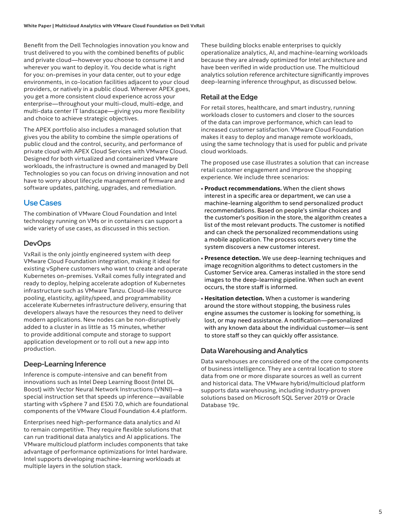Benefit from the Dell Technologies innovation you know and trust delivered to you with the combined benefits of public and private cloud—however you choose to consume it and wherever you want to deploy it. You decide what is right for you: on-premises in your data center, out to your edge environments, in co-location facilities adjacent to your cloud providers, or natively in a public cloud. Wherever APEX goes, you get a more consistent cloud experience across your enterprise—throughout your multi-cloud, multi-edge, and multi-data center IT landscape—giving you more flexibility and choice to achieve strategic objectives.

The APEX portfolio also includes a managed solution that gives you the ability to combine the simple operations of public cloud and the control, security, and performance of private cloud with APEX Cloud Services with VMware Cloud. Designed for both virtualized and containerized VMware workloads, the infrastructure is owned and managed by Dell Technologies so you can focus on driving innovation and not have to worry about lifecycle management of firmware and software updates, patching, upgrades, and remediation.

#### Use Cases

The combination of VMware Cloud Foundation and Intel technology running on VMs or in containers can support a wide variety of use cases, as discussed in this section.

#### **DevOps**

VxRail is the only jointly engineered system with deep VMware Cloud Foundation integration, making it ideal for existing vSphere customers who want to create and operate Kubernetes on-premises. VxRail comes fully integrated and ready to deploy, helping accelerate adoption of Kubernetes infrastructure such as VMware Tanzu. Cloud-like resource pooling, elasticity, agility/speed, and programmability accelerate Kubernetes infrastructure delivery, ensuring that developers always have the resources they need to deliver modern applications. New nodes can be non-disruptively added to a cluster in as little as 15 minutes, whether to provide additional compute and storage to support application development or to roll out a new app into production.

#### Deep-Learning Inference

Inference is compute-intensive and can benefit from innovations such as Intel Deep Learning Boost (Intel DL Boost) with Vector Neural Network Instructions (VNNI)—a special instruction set that speeds up inference—available starting with vSphere 7 and ESXi 7.0, which are foundational components of the VMware Cloud Foundation 4.4 platform.

Enterprises need high-performance data analytics and AI to remain competitive. They require flexible solutions that can run traditional data analytics and AI applications. The VMware multicloud platform includes components that take advantage of performance optimizations for Intel hardware. Intel supports developing machine-learning workloads at multiple layers in the solution stack.

These building blocks enable enterprises to quickly operationalize analytics, AI, and machine-learning workloads because they are already optimized for Intel architecture and have been verified in wide production use. The multicloud analytics solution reference architecture significantly improves deep-learning inference throughput, as discussed below.

#### Retail at the Edge

For retail stores, healthcare, and smart industry, running workloads closer to customers and closer to the sources of the data can improve performance, which can lead to increased customer satisfaction. VMware Cloud Foundation makes it easy to deploy and manage remote workloads, using the same technology that is used for public and private cloud workloads.

The proposed use case illustrates a solution that can increase retail customer engagement and improve the shopping experience. We include three scenarios:

- **Product recommendations.** When the client shows interest in a specific area or department, we can use a machine-learning algorithm to send personalized product recommendations. Based on people's similar choices and the customer's position in the store, the algorithm creates a list of the most relevant products. The customer is notified and can check the personalized recommendations using a mobile application. The process occurs every time the system discovers a new customer interest.
- **Presence detection.** We use deep-learning techniques and image recognition algorithms to detect customers in the Customer Service area. Cameras installed in the store send images to the deep-learning pipeline. When such an event occurs, the store staff is informed.
- **Hesitation detection.** When a customer is wandering around the store without stopping, the business rules engine assumes the customer is looking for something, is lost, or may need assistance. A notification—personalized with any known data about the individual customer—is sent to store staff so they can quickly offer assistance.

#### Data Warehousing and Analytics

Data warehouses are considered one of the core components of business intelligence. They are a central location to store data from one or more disparate sources as well as current and historical data. The VMware hybrid/multicloud platform supports data warehousing, including industry-proven solutions based on Microsoft SQL Server 2019 or Oracle Database 19c.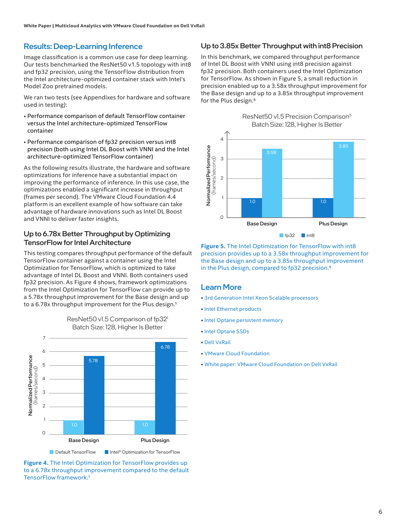#### Results: Deep-Learning Inference

Image classification is a common use case for deep learning. Our tests benchmarked the ResNet50 v1.5 topology with int8 and fp32 precision, using the TensorFlow distribution from the Intel architecture-optimized container stack with Intel's Model Zoo pretrained models.

We ran two tests (see Appendixes for hardware and software used in testing):

- Performance comparison of default TensorFlow container versus the Intel architecture-optimized TensorFlow container
- Performance comparison of fp32 precision versus int8 precision (both using Intel DL Boost with VNNI and the Intel architecture-optimized TensorFlow container)

As the following results illustrate, the hardware and software optimizations for inference have a substantial impact on improving the performance of inference. In this use case, the optimizations enabled a significant increase in throughput (frames per second). The VMware Cloud Foundation 4.4 platform is an excellent example of how software can take advantage of hardware innovations such as Intel DL Boost and VNNI to deliver faster insights.

#### Up to 6.78x Better Throughput by Optimizing TensorFlow for Intel Architecture

This testing compares throughput performance of the default TensorFlow container against a container using the Intel Optimization for TensorFlow, which is optimized to take advantage of Intel DL Boost and VNNI. Both containers used fp32 precision. As Figure 4 shows, framework optimizations from the Intel Optimization for TensorFlow can provide up to a 5.78x throughput improvement for the Base design and up to a 6.78x throughput improvement for the Plus design.<sup>1</sup>



ResNet50 v1.5 Comparison of fp32<sup>1</sup> Batch Size: 128, Higher Is Better

**Figure 4.** The Intel Optimization for TensorFlow provides up to a 6.78x throughput improvement compared to the default TensorFlow framework.1

#### Up to 3.85x Better Throughput with int8 Precision

In this benchmark, we compared throughput performance of Intel DL Boost with VNNI using int8 precision against fp32 precision. Both containers used the Intel Optimization for TensorFlow. As shown in Figure 5, a small reduction in precision enabled up to a 3.58x throughput improvement for the Base design and up to a 3.85x throughput improvement for the Plus design.<sup>5</sup>



**Figure 5.** The Intel Optimization for TensorFlow with int8 precision provides up to a 3.58x throughput improvement for the Base design and up to a 3.85x throughput improvement in the Plus design, compared to fp32 precision.<sup>5</sup>

#### Learn More

- [3rd Generation Intel Xeon Scalable processors](https://www.intel.com/content/www/us/en/products/details/processors/xeon/scalable.html)
- • [Intel Ethernet products](https://www.intel.com/content/www/us/en/products/details/ethernet.html)
- [Intel Optane persistent memory](https://www.intel.com/content/www/us/en/architecture-and-technology/optane-dc-persistent-memory.html)
- [Intel Optane SSDs](https://www.intel.com/content/www/us/en/products/details/memory-storage/data-center-ssds/optane-dc-ssd-series.html)
- • [Dell VxRail](https://www.dell.com/en-us/dt/converged-infrastructure/vxrail/index.htm)
- • [VMware Cloud Foundation](https://www.vmware.com/products/cloud-foundation.html)
- • [White paper: VMware Cloud Foundation on Dell VxRail](http://vxrail.is/vcfwhitepaper)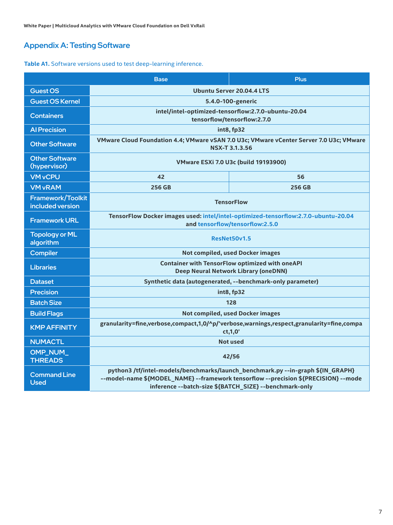### Appendix A: Testing Software

#### **Table A1.** Software versions used to test deep-learning inference.

|                                              | <b>Base</b>                                                                                                                                                                                                                      | <b>Plus</b>   |  |  |
|----------------------------------------------|----------------------------------------------------------------------------------------------------------------------------------------------------------------------------------------------------------------------------------|---------------|--|--|
| <b>Guest OS</b>                              | <b>Ubuntu Server 20.04.4 LTS</b>                                                                                                                                                                                                 |               |  |  |
| <b>Guest OS Kernel</b>                       | 5.4.0-100-generic                                                                                                                                                                                                                |               |  |  |
| <b>Containers</b>                            | intel/intel-optimized-tensorflow:2.7.0-ubuntu-20.04<br>tensorflow/tensorflow:2.7.0                                                                                                                                               |               |  |  |
| <b>Al Precision</b>                          | int8, fp32                                                                                                                                                                                                                       |               |  |  |
| <b>Other Software</b>                        | VMware Cloud Foundation 4.4; VMware vSAN 7.0 U3c; VMware vCenter Server 7.0 U3c; VMware<br><b>NSX-T 3.1.3.56</b>                                                                                                                 |               |  |  |
| <b>Other Software</b><br>(hypervisor)        | <b>VMware ESXi 7.0 U3c (build 19193900)</b>                                                                                                                                                                                      |               |  |  |
| <b>VM vCPU</b>                               | 42                                                                                                                                                                                                                               | 56            |  |  |
| <b>VM vRAM</b>                               | 256 GB                                                                                                                                                                                                                           | <b>256 GB</b> |  |  |
| <b>Framework/Toolkit</b><br>included version | <b>TensorFlow</b>                                                                                                                                                                                                                |               |  |  |
| <b>Framework URL</b>                         | TensorFlow Docker images used: intel/intel-optimized-tensorflow:2.7.0-ubuntu-20.04<br>and tensorflow/tensorflow:2.5.0                                                                                                            |               |  |  |
| <b>Topology or ML</b><br>algorithm           | ResNet50v1.5                                                                                                                                                                                                                     |               |  |  |
| <b>Compiler</b>                              | <b>Not compiled, used Docker images</b>                                                                                                                                                                                          |               |  |  |
| <b>Libraries</b>                             | <b>Container with TensorFlow optimized with oneAPI</b><br><b>Deep Neural Network Library (oneDNN)</b>                                                                                                                            |               |  |  |
| <b>Dataset</b>                               | Synthetic data (autogenerated, --benchmark-only parameter)                                                                                                                                                                       |               |  |  |
| <b>Precision</b>                             | int8, fp32                                                                                                                                                                                                                       |               |  |  |
| <b>Batch Size</b>                            | 128                                                                                                                                                                                                                              |               |  |  |
| <b>Build Flags</b>                           | Not compiled, used Docker images                                                                                                                                                                                                 |               |  |  |
| <b>KMP AFFINITY</b>                          | granularity=fine,verbose,compact,1,0/^p/'verbose,warnings,respect,granularity=fine,compa<br>ct, 1, 0'                                                                                                                            |               |  |  |
| <b>NUMACTL</b>                               | <b>Not used</b>                                                                                                                                                                                                                  |               |  |  |
| OMP_NUM_<br><b>THREADS</b>                   | 42/56                                                                                                                                                                                                                            |               |  |  |
| <b>Command Line</b><br><b>Used</b>           | python3 /tf/intel-models/benchmarks/launch_benchmark.py --in-graph \${IN_GRAPH}<br>--model-name \${MODEL_NAME} --framework tensorflow --precision \${PRECISION} --mode<br>inference --batch-size \${BATCH_SIZE} --benchmark-only |               |  |  |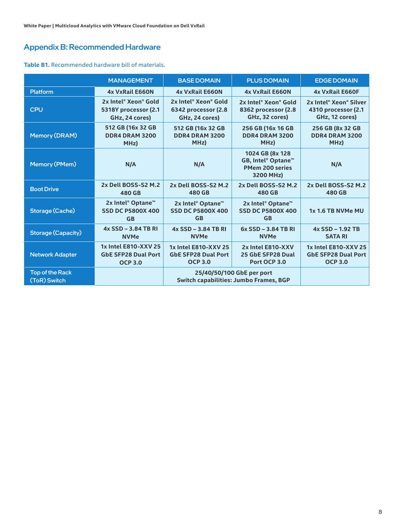#### Appendix B: Recommended Hardware

#### **Table B1.** Recommended hardware bill of materials.

|                                        | <b>MANAGEMENT</b>                                          | <b>BASEDOMAIN</b>                                                   | <b>PLUS DOMAIN</b>                                                           | <b>EDGE DOMAIN</b>                             |
|----------------------------------------|------------------------------------------------------------|---------------------------------------------------------------------|------------------------------------------------------------------------------|------------------------------------------------|
| <b>Platform</b>                        | <b>4x VxRail E660N</b>                                     | <b>4x VxRail E660N</b>                                              | <b>4x VxRail E660N</b>                                                       | <b>4x VxRail E660F</b>                         |
| <b>CPU</b>                             | 2x Intel® Xeon® Gold                                       | 2x Intel <sup>®</sup> Xeon <sup>®</sup> Gold                        | 2x Intel <sup>®</sup> Xeon <sup>®</sup> Gold                                 | 2x Intel <sup>®</sup> Xeon <sup>®</sup> Silver |
|                                        | 5318Y processor (2.1                                       | 6342 processor (2.8                                                 | 8362 processor (2.8                                                          | 4310 processor (2.1                            |
|                                        | GHz, 24 cores)                                             | GHz, 24 cores)                                                      | GHz, 32 cores)                                                               | GHz, 12 cores)                                 |
| <b>Memory (DRAM)</b>                   | 512 GB (16x 32 GB                                          | 512 GB (16x 32 GB                                                   | 256 GB (16x 16 GB                                                            | 256 GB (8x 32 GB                               |
|                                        | <b>DDR4 DRAM 3200</b>                                      | <b>DDR4 DRAM 3200</b>                                               | <b>DDR4 DRAM 3200</b>                                                        | <b>DDR4 DRAM 3200</b>                          |
|                                        | MHz)                                                       | MHz)                                                                | MHz)                                                                         | MHz)                                           |
| <b>Memory (PMem)</b>                   | N/A                                                        | N/A                                                                 | 1024 GB (8x 128<br>GB, Intel® Optane™<br><b>PMem 200 series</b><br>3200 MHz) | N/A                                            |
| <b>Boot Drive</b>                      | 2x Dell BOSS-S2 M.2                                        | 2x Dell BOSS-S2 M.2                                                 | 2x Dell BOSS-S2 M.2                                                          | 2x Dell BOSS-S2 M.2                            |
|                                        | 480 GB                                                     | 480 GB                                                              | 480 GB                                                                       | 480 GB                                         |
| <b>Storage (Cache)</b>                 | 2x Intel® Optane™<br><b>SSD DC P5800X 400</b><br><b>GB</b> | 2x Intel® Optane™<br><b>SSD DC P5800X 400</b><br><b>GB</b>          | 2x Intel® Optane™<br><b>SSD DC P5800X 400</b><br><b>GB</b>                   | 1x 1.6 TB NVMe MU                              |
| Storage (Capacity)                     | 4x SSD - 3.84 TB RI                                        | 4x SSD - 3.84 TB RI                                                 | 6x SSD - 3.84 TB RI                                                          | 4x SSD - 1.92 TB                               |
|                                        | <b>NVMe</b>                                                | <b>NVMe</b>                                                         | <b>NVMe</b>                                                                  | <b>SATA RI</b>                                 |
| <b>Network Adapter</b>                 | 1x Intel E810-XXV 25                                       | 1x Intel E810-XXV 25                                                | 2x Intel E810-XXV                                                            | 1x Intel E810-XXV 25                           |
|                                        | <b>GbE SFP28 Dual Port</b>                                 | <b>GbE SFP28 Dual Port</b>                                          | 25 GbE SFP28 Dual                                                            | <b>GbE SFP28 Dual Port</b>                     |
|                                        | <b>OCP 3.0</b>                                             | <b>OCP 3.0</b>                                                      | Port OCP 3.0                                                                 | <b>OCP 3.0</b>                                 |
| <b>Top of the Rack</b><br>(ToR) Switch |                                                            | 25/40/50/100 GbE per port<br>Switch capabilities: Jumbo Frames, BGP |                                                                              |                                                |